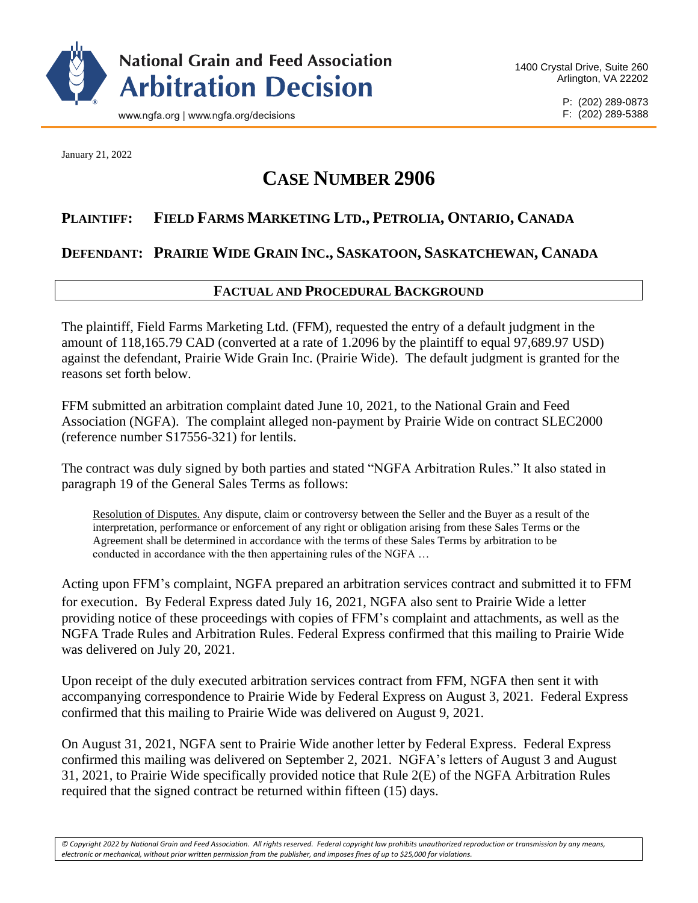

January 21, 2022

# **CASE NUMBER 2906**

# **PLAINTIFF: FIELD FARMS MARKETING LTD., PETROLIA, ONTARIO, CANADA**

# **DEFENDANT: PRAIRIE WIDE GRAIN INC., SASKATOON, SASKATCHEWAN, CANADA**

## **FACTUAL AND PROCEDURAL BACKGROUND**

The plaintiff, Field Farms Marketing Ltd. (FFM), requested the entry of a default judgment in the amount of 118,165.79 CAD (converted at a rate of 1.2096 by the plaintiff to equal 97,689.97 USD) against the defendant, Prairie Wide Grain Inc. (Prairie Wide). The default judgment is granted for the reasons set forth below.

FFM submitted an arbitration complaint dated June 10, 2021, to the National Grain and Feed Association (NGFA). The complaint alleged non-payment by Prairie Wide on contract SLEC2000 (reference number S17556-321) for lentils.

The contract was duly signed by both parties and stated "NGFA Arbitration Rules." It also stated in paragraph 19 of the General Sales Terms as follows:

Resolution of Disputes. Any dispute, claim or controversy between the Seller and the Buyer as a result of the interpretation, performance or enforcement of any right or obligation arising from these Sales Terms or the Agreement shall be determined in accordance with the terms of these Sales Terms by arbitration to be conducted in accordance with the then appertaining rules of the NGFA …

Acting upon FFM's complaint, NGFA prepared an arbitration services contract and submitted it to FFM for execution. By Federal Express dated July 16, 2021, NGFA also sent to Prairie Wide a letter providing notice of these proceedings with copies of FFM's complaint and attachments, as well as the NGFA Trade Rules and Arbitration Rules. Federal Express confirmed that this mailing to Prairie Wide was delivered on July 20, 2021.

Upon receipt of the duly executed arbitration services contract from FFM, NGFA then sent it with accompanying correspondence to Prairie Wide by Federal Express on August 3, 2021. Federal Express confirmed that this mailing to Prairie Wide was delivered on August 9, 2021.

On August 31, 2021, NGFA sent to Prairie Wide another letter by Federal Express. Federal Express confirmed this mailing was delivered on September 2, 2021. NGFA's letters of August 3 and August 31, 2021, to Prairie Wide specifically provided notice that Rule 2(E) of the NGFA Arbitration Rules required that the signed contract be returned within fifteen (15) days.

*© Copyright 2022 by National Grain and Feed Association. All rights reserved. Federal copyright law prohibits unauthorized reproduction or transmission by any means, electronic or mechanical, without prior written permission from the publisher, and imposes fines of up to \$25,000 for violations.*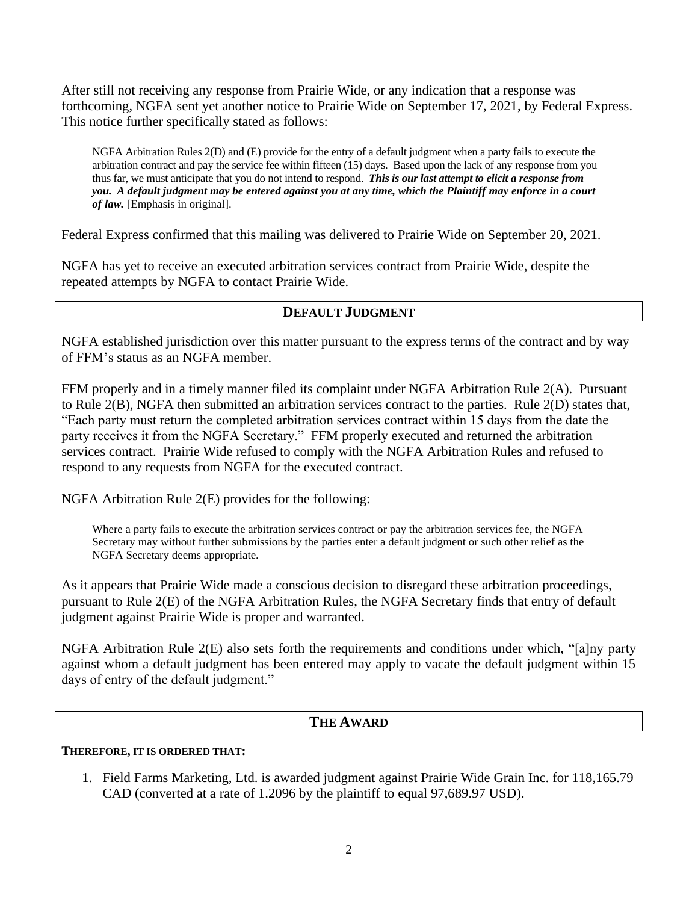After still not receiving any response from Prairie Wide, or any indication that a response was forthcoming, NGFA sent yet another notice to Prairie Wide on September 17, 2021, by Federal Express. This notice further specifically stated as follows:

NGFA Arbitration Rules 2(D) and (E) provide for the entry of a default judgment when a party fails to execute the arbitration contract and pay the service fee within fifteen (15) days. Based upon the lack of any response from you thus far, we must anticipate that you do not intend to respond. *This is our last attempt to elicit a response from you. A default judgment may be entered against you at any time, which the Plaintiff may enforce in a court of law.* [Emphasis in original].

Federal Express confirmed that this mailing was delivered to Prairie Wide on September 20, 2021.

NGFA has yet to receive an executed arbitration services contract from Prairie Wide, despite the repeated attempts by NGFA to contact Prairie Wide.

### **DEFAULT JUDGMENT**

NGFA established jurisdiction over this matter pursuant to the express terms of the contract and by way of FFM's status as an NGFA member.

FFM properly and in a timely manner filed its complaint under NGFA Arbitration Rule 2(A). Pursuant to Rule 2(B), NGFA then submitted an arbitration services contract to the parties. Rule 2(D) states that, "Each party must return the completed arbitration services contract within 15 days from the date the party receives it from the NGFA Secretary." FFM properly executed and returned the arbitration services contract. Prairie Wide refused to comply with the NGFA Arbitration Rules and refused to respond to any requests from NGFA for the executed contract.

NGFA Arbitration Rule 2(E) provides for the following:

Where a party fails to execute the arbitration services contract or pay the arbitration services fee, the NGFA Secretary may without further submissions by the parties enter a default judgment or such other relief as the NGFA Secretary deems appropriate.

As it appears that Prairie Wide made a conscious decision to disregard these arbitration proceedings, pursuant to Rule 2(E) of the NGFA Arbitration Rules, the NGFA Secretary finds that entry of default judgment against Prairie Wide is proper and warranted.

NGFA Arbitration Rule 2(E) also sets forth the requirements and conditions under which, "[a]ny party against whom a default judgment has been entered may apply to vacate the default judgment within 15 days of entry of the default judgment."

### **THE AWARD**

### **THEREFORE, IT IS ORDERED THAT:**

1. Field Farms Marketing, Ltd. is awarded judgment against Prairie Wide Grain Inc. for 118,165.79 CAD (converted at a rate of 1.2096 by the plaintiff to equal 97,689.97 USD).